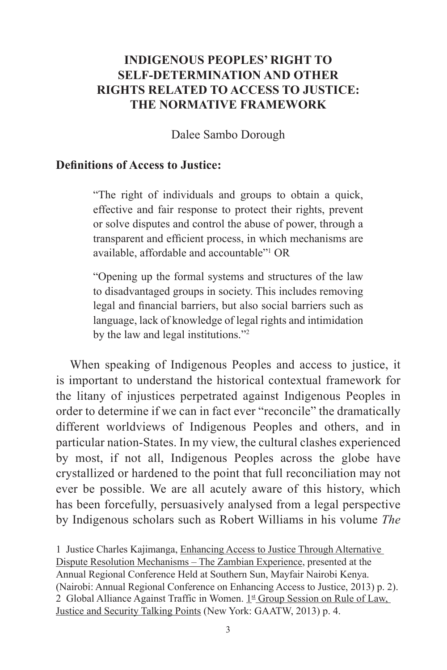# **INDIGENOUS PEOPLES' RIGHT TO SELF-DETERMINATION AND OTHER RIGHTS RELATED TO ACCESS TO JUSTICE: THE NORMATIVE FRAMEWORK**

Dalee Sambo Dorough

#### **Definitions of Access to Justice:**

"The right of individuals and groups to obtain a quick, effective and fair response to protect their rights, prevent or solve disputes and control the abuse of power, through a transparent and efficient process, in which mechanisms are available, affordable and accountable"1 OR

"Opening up the formal systems and structures of the law to disadvantaged groups in society. This includes removing legal and financial barriers, but also social barriers such as language, lack of knowledge of legal rights and intimidation by the law and legal institutions."2

When speaking of Indigenous Peoples and access to justice, it is important to understand the historical contextual framework for the litany of injustices perpetrated against Indigenous Peoples in order to determine if we can in fact ever "reconcile" the dramatically different worldviews of Indigenous Peoples and others, and in particular nation-States. In my view, the cultural clashes experienced by most, if not all, Indigenous Peoples across the globe have crystallized or hardened to the point that full reconciliation may not ever be possible. We are all acutely aware of this history, which has been forcefully, persuasively analysed from a legal perspective by Indigenous scholars such as Robert Williams in his volume *The* 

1 Justice Charles Kajimanga, Enhancing Access to Justice Through Alternative Dispute Resolution Mechanisms – The Zambian Experience, presented at the Annual Regional Conference Held at Southern Sun, Mayfair Nairobi Kenya. (Nairobi: Annual Regional Conference on Enhancing Access to Justice, 2013) p. 2). 2 Global Alliance Against Traffic in Women.  $1<sup>st</sup>$  Group Session on Rule of Law, Justice and Security Talking Points (New York: GAATW, 2013) p. 4.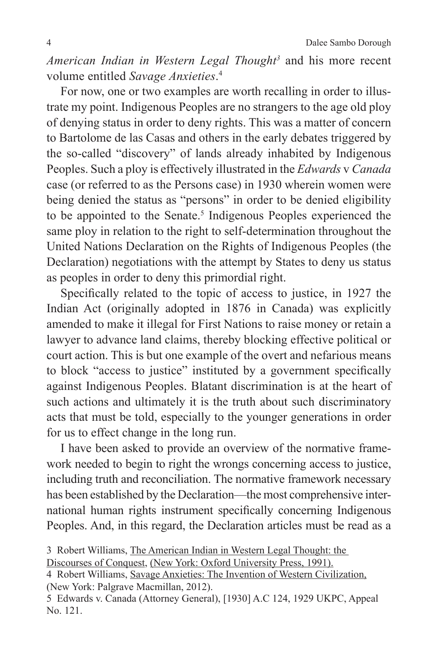*American Indian in Western Legal Thought3* and his more recent volume entitled *Savage Anxieties*. 4

For now, one or two examples are worth recalling in order to illustrate my point. Indigenous Peoples are no strangers to the age old ploy of denying status in order to deny rights. This was a matter of concern to Bartolome de las Casas and others in the early debates triggered by the so-called "discovery" of lands already inhabited by Indigenous Peoples. Such a ploy is effectively illustrated in the *Edwards* v *Canada* case (or referred to as the Persons case) in 1930 wherein women were being denied the status as "persons" in order to be denied eligibility to be appointed to the Senate.<sup>5</sup> Indigenous Peoples experienced the same ploy in relation to the right to self-determination throughout the United Nations Declaration on the Rights of Indigenous Peoples (the Declaration) negotiations with the attempt by States to deny us status as peoples in order to deny this primordial right.

Specifically related to the topic of access to justice, in 1927 the Indian Act (originally adopted in 1876 in Canada) was explicitly amended to make it illegal for First Nations to raise money or retain a lawyer to advance land claims, thereby blocking effective political or court action. This is but one example of the overt and nefarious means to block "access to justice" instituted by a government specifically against Indigenous Peoples. Blatant discrimination is at the heart of such actions and ultimately it is the truth about such discriminatory acts that must be told, especially to the younger generations in order for us to effect change in the long run.

I have been asked to provide an overview of the normative framework needed to begin to right the wrongs concerning access to justice, including truth and reconciliation. The normative framework necessary has been established by the Declaration—the most comprehensive international human rights instrument specifically concerning Indigenous Peoples. And, in this regard, the Declaration articles must be read as a

<sup>3</sup> Robert Williams, The American Indian in Western Legal Thought: the

Discourses of Conquest, (New York: Oxford University Press, 1991).

<sup>4</sup> Robert Williams, Savage Anxieties: The Invention of Western Civilization, (New York: Palgrave Macmillan, 2012).

<sup>5</sup> Edwards v. Canada (Attorney General), [1930] A.C 124, 1929 UKPC, Appeal No. 121.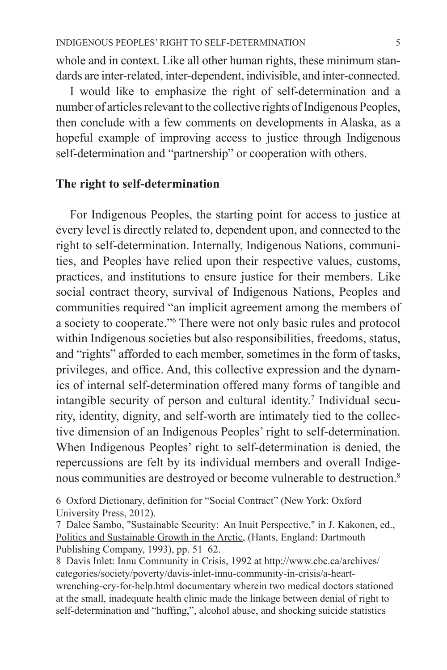whole and in context. Like all other human rights, these minimum standards are inter-related, inter-dependent, indivisible, and inter-connected.

I would like to emphasize the right of self-determination and a number of articles relevant to the collective rights of Indigenous Peoples, then conclude with a few comments on developments in Alaska, as a hopeful example of improving access to justice through Indigenous self-determination and "partnership" or cooperation with others.

### **The right to self-determination**

For Indigenous Peoples, the starting point for access to justice at every level is directly related to, dependent upon, and connected to the right to self-determination. Internally, Indigenous Nations, communities, and Peoples have relied upon their respective values, customs, practices, and institutions to ensure justice for their members. Like social contract theory, survival of Indigenous Nations, Peoples and communities required "an implicit agreement among the members of a society to cooperate."6 There were not only basic rules and protocol within Indigenous societies but also responsibilities, freedoms, status, and "rights" afforded to each member, sometimes in the form of tasks, privileges, and office. And, this collective expression and the dynamics of internal self-determination offered many forms of tangible and intangible security of person and cultural identity.<sup>7</sup> Individual security, identity, dignity, and self-worth are intimately tied to the collective dimension of an Indigenous Peoples' right to self-determination. When Indigenous Peoples' right to self-determination is denied, the repercussions are felt by its individual members and overall Indigenous communities are destroyed or become vulnerable to destruction.<sup>8</sup>

6 Oxford Dictionary, definition for "Social Contract" (New York: Oxford University Press, 2012).

7 Dalee Sambo, "Sustainable Security: An Inuit Perspective," in J. Kakonen, ed., Politics and Sustainable Growth in the Arctic, (Hants, England: Dartmouth Publishing Company, 1993), pp. 51–62.

8 Davis Inlet: Innu Community in Crisis, 1992 at http://www.cbc.ca/archives/ categories/society/poverty/davis-inlet-innu-community-in-crisis/a-heartwrenching-cry-for-help.html documentary wherein two medical doctors stationed at the small, inadequate health clinic made the linkage between denial of right to self-determination and "huffing,", alcohol abuse, and shocking suicide statistics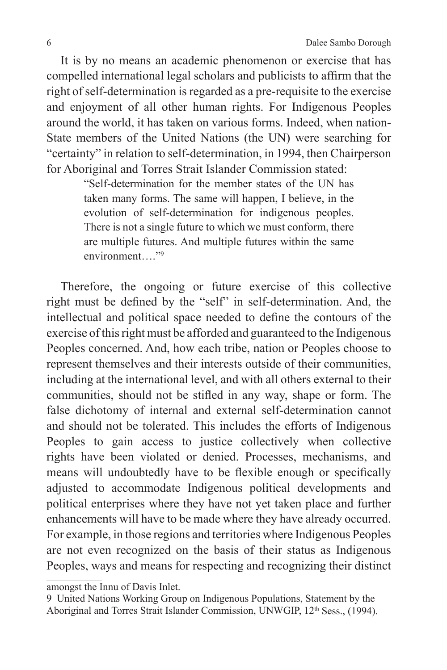It is by no means an academic phenomenon or exercise that has compelled international legal scholars and publicists to affirm that the right of self-determination is regarded as a pre-requisite to the exercise and enjoyment of all other human rights. For Indigenous Peoples around the world, it has taken on various forms. Indeed, when nation-State members of the United Nations (the UN) were searching for "certainty" in relation to self-determination, in 1994, then Chairperson for Aboriginal and Torres Strait Islander Commission stated:

> "Self-determination for the member states of the UN has taken many forms. The same will happen, I believe, in the evolution of self-determination for indigenous peoples. There is not a single future to which we must conform, there are multiple futures. And multiple futures within the same environment "<sup>9</sup>

Therefore, the ongoing or future exercise of this collective right must be defined by the "self" in self-determination. And, the intellectual and political space needed to define the contours of the exercise of this right must be afforded and guaranteed to the Indigenous Peoples concerned. And, how each tribe, nation or Peoples choose to represent themselves and their interests outside of their communities, including at the international level, and with all others external to their communities, should not be stifled in any way, shape or form. The false dichotomy of internal and external self-determination cannot and should not be tolerated. This includes the efforts of Indigenous Peoples to gain access to justice collectively when collective rights have been violated or denied. Processes, mechanisms, and means will undoubtedly have to be flexible enough or specifically adjusted to accommodate Indigenous political developments and political enterprises where they have not yet taken place and further enhancements will have to be made where they have already occurred. For example, in those regions and territories where Indigenous Peoples are not even recognized on the basis of their status as Indigenous Peoples, ways and means for respecting and recognizing their distinct

amongst the Innu of Davis Inlet.

<sup>9</sup> United Nations Working Group on Indigenous Populations, Statement by the Aboriginal and Torres Strait Islander Commission, UNWGIP, 12<sup>th</sup> Sess., (1994).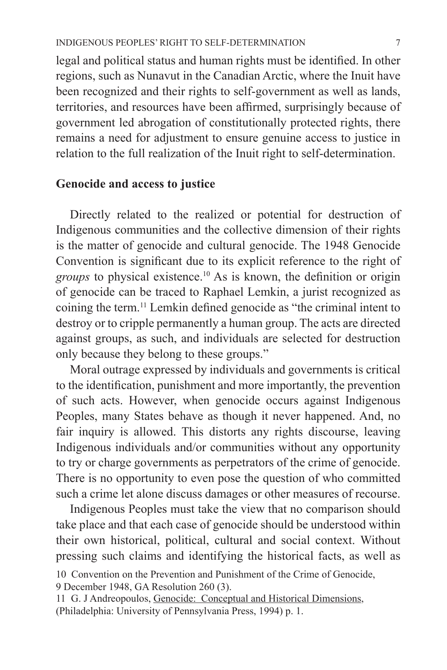legal and political status and human rights must be identified. In other regions, such as Nunavut in the Canadian Arctic, where the Inuit have been recognized and their rights to self-government as well as lands, territories, and resources have been affirmed, surprisingly because of government led abrogation of constitutionally protected rights, there remains a need for adjustment to ensure genuine access to justice in relation to the full realization of the Inuit right to self-determination.

## **Genocide and access to justice**

Directly related to the realized or potential for destruction of Indigenous communities and the collective dimension of their rights is the matter of genocide and cultural genocide. The 1948 Genocide Convention is significant due to its explicit reference to the right of *groups* to physical existence.10 As is known, the definition or origin of genocide can be traced to Raphael Lemkin, a jurist recognized as coining the term.11 Lemkin defined genocide as "the criminal intent to destroy or to cripple permanently a human group. The acts are directed against groups, as such, and individuals are selected for destruction only because they belong to these groups."

Moral outrage expressed by individuals and governments is critical to the identification, punishment and more importantly, the prevention of such acts. However, when genocide occurs against Indigenous Peoples, many States behave as though it never happened. And, no fair inquiry is allowed. This distorts any rights discourse, leaving Indigenous individuals and/or communities without any opportunity to try or charge governments as perpetrators of the crime of genocide. There is no opportunity to even pose the question of who committed such a crime let alone discuss damages or other measures of recourse.

Indigenous Peoples must take the view that no comparison should take place and that each case of genocide should be understood within their own historical, political, cultural and social context. Without pressing such claims and identifying the historical facts, as well as

<sup>10</sup> Convention on the Prevention and Punishment of the Crime of Genocide, 9 December 1948, GA Resolution 260 (3).

<sup>11</sup> G. J Andreopoulos, Genocide: Conceptual and Historical Dimensions, (Philadelphia: University of Pennsylvania Press, 1994) p. 1.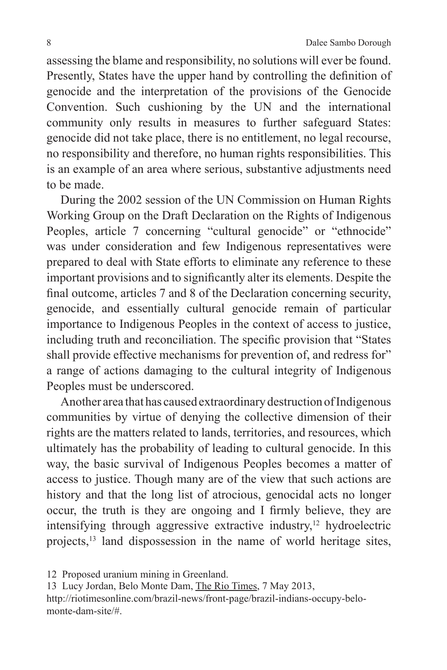assessing the blame and responsibility, no solutions will ever be found. Presently, States have the upper hand by controlling the definition of genocide and the interpretation of the provisions of the Genocide Convention. Such cushioning by the UN and the international community only results in measures to further safeguard States: genocide did not take place, there is no entitlement, no legal recourse, no responsibility and therefore, no human rights responsibilities. This is an example of an area where serious, substantive adjustments need to be made.

During the 2002 session of the UN Commission on Human Rights Working Group on the Draft Declaration on the Rights of Indigenous Peoples, article 7 concerning "cultural genocide" or "ethnocide" was under consideration and few Indigenous representatives were prepared to deal with State efforts to eliminate any reference to these important provisions and to significantly alter its elements. Despite the final outcome, articles 7 and 8 of the Declaration concerning security, genocide, and essentially cultural genocide remain of particular importance to Indigenous Peoples in the context of access to justice, including truth and reconciliation. The specific provision that "States shall provide effective mechanisms for prevention of, and redress for" a range of actions damaging to the cultural integrity of Indigenous Peoples must be underscored.

Another area that has caused extraordinary destruction of Indigenous communities by virtue of denying the collective dimension of their rights are the matters related to lands, territories, and resources, which ultimately has the probability of leading to cultural genocide. In this way, the basic survival of Indigenous Peoples becomes a matter of access to justice. Though many are of the view that such actions are history and that the long list of atrocious, genocidal acts no longer occur, the truth is they are ongoing and I firmly believe, they are intensifying through aggressive extractive industry,<sup>12</sup> hydroelectric projects,<sup>13</sup> land dispossession in the name of world heritage sites,

13 Lucy Jordan, Belo Monte Dam, The Rio Times, 7 May 2013, http://riotimesonline.com/brazil-news/front-page/brazil-indians-occupy-belomonte-dam-site/#.

<sup>12</sup> Proposed uranium mining in Greenland.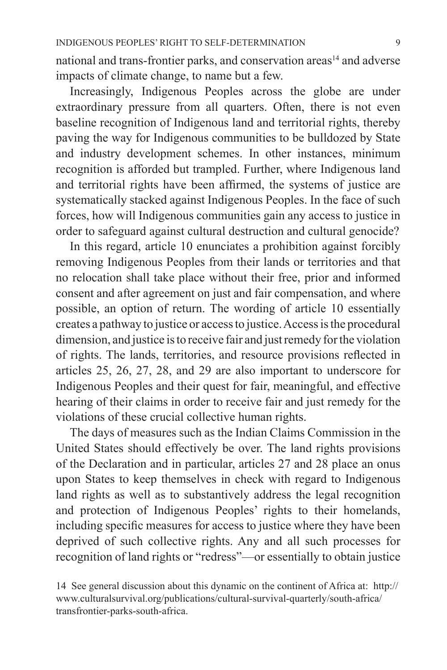national and trans-frontier parks, and conservation areas<sup>14</sup> and adverse impacts of climate change, to name but a few.

Increasingly, Indigenous Peoples across the globe are under extraordinary pressure from all quarters. Often, there is not even baseline recognition of Indigenous land and territorial rights, thereby paving the way for Indigenous communities to be bulldozed by State and industry development schemes. In other instances, minimum recognition is afforded but trampled. Further, where Indigenous land and territorial rights have been affirmed, the systems of justice are systematically stacked against Indigenous Peoples. In the face of such forces, how will Indigenous communities gain any access to justice in order to safeguard against cultural destruction and cultural genocide?

In this regard, article 10 enunciates a prohibition against forcibly removing Indigenous Peoples from their lands or territories and that no relocation shall take place without their free, prior and informed consent and after agreement on just and fair compensation, and where possible, an option of return. The wording of article 10 essentially creates a pathway to justice or access to justice. Access is the procedural dimension, and justice is to receive fair and just remedy for the violation of rights. The lands, territories, and resource provisions reflected in articles 25, 26, 27, 28, and 29 are also important to underscore for Indigenous Peoples and their quest for fair, meaningful, and effective hearing of their claims in order to receive fair and just remedy for the violations of these crucial collective human rights.

The days of measures such as the Indian Claims Commission in the United States should effectively be over. The land rights provisions of the Declaration and in particular, articles 27 and 28 place an onus upon States to keep themselves in check with regard to Indigenous land rights as well as to substantively address the legal recognition and protection of Indigenous Peoples' rights to their homelands, including specific measures for access to justice where they have been deprived of such collective rights. Any and all such processes for recognition of land rights or "redress"—or essentially to obtain justice

14 See general discussion about this dynamic on the continent of Africa at: http:// www.culturalsurvival.org/publications/cultural-survival-quarterly/south-africa/ transfrontier-parks-south-africa.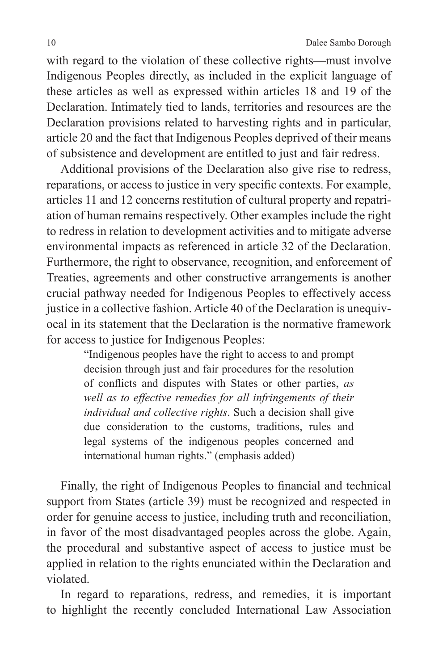with regard to the violation of these collective rights—must involve Indigenous Peoples directly, as included in the explicit language of these articles as well as expressed within articles 18 and 19 of the Declaration. Intimately tied to lands, territories and resources are the Declaration provisions related to harvesting rights and in particular, article 20 and the fact that Indigenous Peoples deprived of their means of subsistence and development are entitled to just and fair redress.

Additional provisions of the Declaration also give rise to redress, reparations, or access to justice in very specific contexts. For example, articles 11 and 12 concerns restitution of cultural property and repatriation of human remains respectively. Other examples include the right to redress in relation to development activities and to mitigate adverse environmental impacts as referenced in article 32 of the Declaration. Furthermore, the right to observance, recognition, and enforcement of Treaties, agreements and other constructive arrangements is another crucial pathway needed for Indigenous Peoples to effectively access justice in a collective fashion. Article 40 of the Declaration is unequivocal in its statement that the Declaration is the normative framework for access to justice for Indigenous Peoples:

> "Indigenous peoples have the right to access to and prompt decision through just and fair procedures for the resolution of conflicts and disputes with States or other parties, *as well as to effective remedies for all infringements of their individual and collective rights*. Such a decision shall give due consideration to the customs, traditions, rules and legal systems of the indigenous peoples concerned and international human rights." (emphasis added)

Finally, the right of Indigenous Peoples to financial and technical support from States (article 39) must be recognized and respected in order for genuine access to justice, including truth and reconciliation, in favor of the most disadvantaged peoples across the globe. Again, the procedural and substantive aspect of access to justice must be applied in relation to the rights enunciated within the Declaration and violated.

In regard to reparations, redress, and remedies, it is important to highlight the recently concluded International Law Association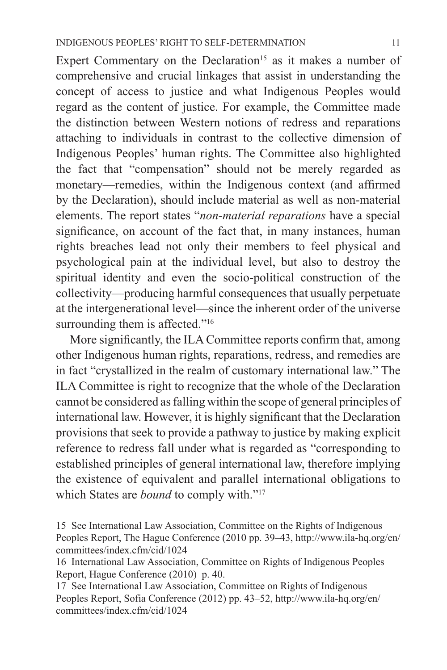Expert Commentary on the Declaration<sup>15</sup> as it makes a number of comprehensive and crucial linkages that assist in understanding the concept of access to justice and what Indigenous Peoples would regard as the content of justice. For example, the Committee made the distinction between Western notions of redress and reparations attaching to individuals in contrast to the collective dimension of Indigenous Peoples' human rights. The Committee also highlighted the fact that "compensation" should not be merely regarded as monetary—remedies, within the Indigenous context (and affirmed by the Declaration), should include material as well as non-material elements. The report states "*non-material reparations* have a special significance, on account of the fact that, in many instances, human rights breaches lead not only their members to feel physical and psychological pain at the individual level, but also to destroy the spiritual identity and even the socio-political construction of the collectivity—producing harmful consequences that usually perpetuate at the intergenerational level—since the inherent order of the universe surrounding them is affected."<sup>16</sup>

More significantly, the ILA Committee reports confirm that, among other Indigenous human rights, reparations, redress, and remedies are in fact "crystallized in the realm of customary international law." The ILA Committee is right to recognize that the whole of the Declaration cannot be considered as falling within the scope of general principles of international law. However, it is highly significant that the Declaration provisions that seek to provide a pathway to justice by making explicit reference to redress fall under what is regarded as "corresponding to established principles of general international law, therefore implying the existence of equivalent and parallel international obligations to which States are *bound* to comply with."<sup>17</sup>

<sup>15</sup> See International Law Association, Committee on the Rights of Indigenous Peoples Report, The Hague Conference (2010 pp. 39–43, http://www.ila-hq.org/en/ committees/index.cfm/cid/1024

<sup>16</sup> International Law Association, Committee on Rights of Indigenous Peoples Report, Hague Conference (2010) p. 40.

<sup>17</sup> See International Law Association, Committee on Rights of Indigenous Peoples Report, Sofia Conference (2012) pp. 43–52, http://www.ila-hq.org/en/ committees/index.cfm/cid/1024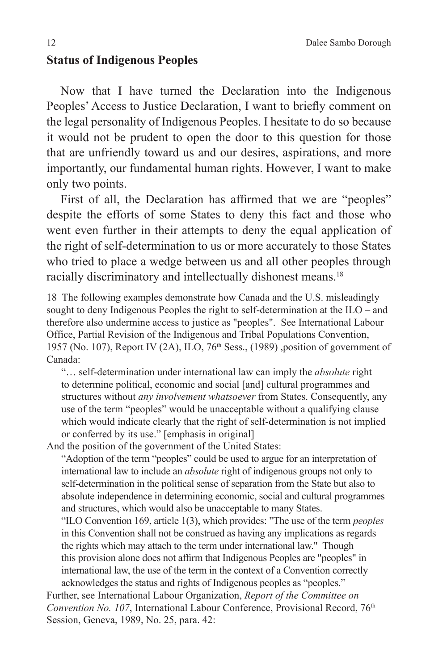#### **Status of Indigenous Peoples**

Now that I have turned the Declaration into the Indigenous Peoples' Access to Justice Declaration, I want to briefly comment on the legal personality of Indigenous Peoples. I hesitate to do so because it would not be prudent to open the door to this question for those that are unfriendly toward us and our desires, aspirations, and more importantly, our fundamental human rights. However, I want to make only two points.

First of all, the Declaration has affirmed that we are "peoples" despite the efforts of some States to deny this fact and those who went even further in their attempts to deny the equal application of the right of self-determination to us or more accurately to those States who tried to place a wedge between us and all other peoples through racially discriminatory and intellectually dishonest means.18

18 The following examples demonstrate how Canada and the U.S. misleadingly sought to deny Indigenous Peoples the right to self-determination at the ILO – and therefore also undermine access to justice as "peoples". See International Labour Office, Partial Revision of the Indigenous and Tribal Populations Convention, 1957 (No. 107), Report IV (2A), ILO,  $76<sup>th</sup> Sess.$ , (1989), position of government of Canada:

"… self-determination under international law can imply the *absolute* right to determine political, economic and social [and] cultural programmes and structures without *any involvement whatsoever* from States. Consequently, any use of the term "peoples" would be unacceptable without a qualifying clause which would indicate clearly that the right of self-determination is not implied or conferred by its use." [emphasis in original]

And the position of the government of the United States:

"Adoption of the term "peoples" could be used to argue for an interpretation of international law to include an *absolute* right of indigenous groups not only to self-determination in the political sense of separation from the State but also to absolute independence in determining economic, social and cultural programmes and structures, which would also be unacceptable to many States.

"ILO Convention 169, article 1(3), which provides: "The use of the term *peoples*  in this Convention shall not be construed as having any implications as regards the rights which may attach to the term under international law." Though this provision alone does not affirm that Indigenous Peoples are "peoples" in international law, the use of the term in the context of a Convention correctly acknowledges the status and rights of Indigenous peoples as "peoples."

Further, see International Labour Organization, *Report of the Committee on Convention No. 107*, International Labour Conference, Provisional Record, 76<sup>th</sup> Session, Geneva, 1989, No. 25, para. 42: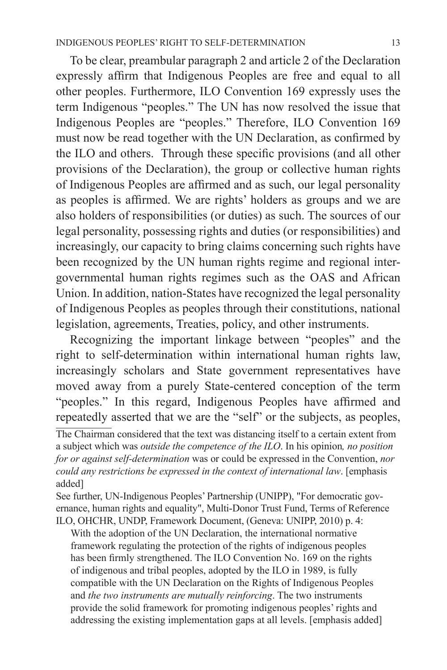To be clear, preambular paragraph 2 and article 2 of the Declaration expressly affirm that Indigenous Peoples are free and equal to all other peoples. Furthermore, ILO Convention 169 expressly uses the term Indigenous "peoples." The UN has now resolved the issue that Indigenous Peoples are "peoples." Therefore, ILO Convention 169 must now be read together with the UN Declaration, as confirmed by the ILO and others. Through these specific provisions (and all other provisions of the Declaration), the group or collective human rights of Indigenous Peoples are affirmed and as such, our legal personality as peoples is affirmed. We are rights' holders as groups and we are also holders of responsibilities (or duties) as such. The sources of our legal personality, possessing rights and duties (or responsibilities) and increasingly, our capacity to bring claims concerning such rights have been recognized by the UN human rights regime and regional intergovernmental human rights regimes such as the OAS and African Union. In addition, nation-States have recognized the legal personality of Indigenous Peoples as peoples through their constitutions, national legislation, agreements, Treaties, policy, and other instruments.

Recognizing the important linkage between "peoples" and the right to self-determination within international human rights law, increasingly scholars and State government representatives have moved away from a purely State-centered conception of the term "peoples." In this regard, Indigenous Peoples have affirmed and repeatedly asserted that we are the "self" or the subjects, as peoples, The Chairman considered that the text was distancing itself to a certain extent from a subject which was *outside the competence of the ILO*. In his opinion*, no position for or against self-determination* was or could be expressed in the Convention, *nor could any restrictions be expressed in the context of international law*. [emphasis added]

See further, UN-Indigenous Peoples' Partnership (UNIPP), "For democratic governance, human rights and equality", Multi-Donor Trust Fund, Terms of Reference ILO, OHCHR, UNDP, Framework Document, (Geneva: UNIPP, 2010) p. 4:

With the adoption of the UN Declaration, the international normative framework regulating the protection of the rights of indigenous peoples has been firmly strengthened. The ILO Convention No. 169 on the rights of indigenous and tribal peoples, adopted by the ILO in 1989, is fully compatible with the UN Declaration on the Rights of Indigenous Peoples and *the two instruments are mutually reinforcing*. The two instruments provide the solid framework for promoting indigenous peoples' rights and addressing the existing implementation gaps at all levels. [emphasis added]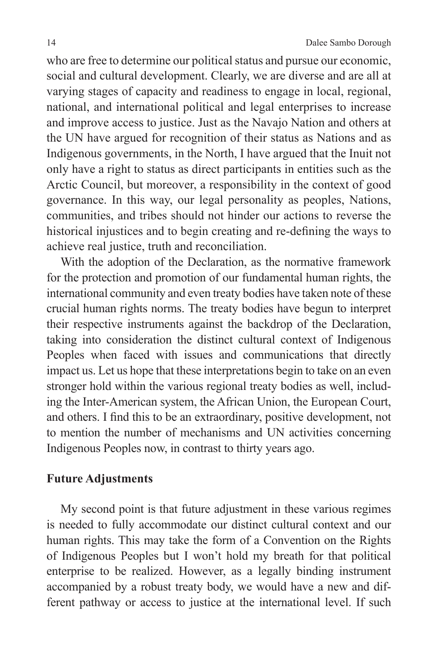who are free to determine our political status and pursue our economic, social and cultural development. Clearly, we are diverse and are all at varying stages of capacity and readiness to engage in local, regional, national, and international political and legal enterprises to increase and improve access to justice. Just as the Navajo Nation and others at the UN have argued for recognition of their status as Nations and as Indigenous governments, in the North, I have argued that the Inuit not only have a right to status as direct participants in entities such as the Arctic Council, but moreover, a responsibility in the context of good governance. In this way, our legal personality as peoples, Nations, communities, and tribes should not hinder our actions to reverse the historical injustices and to begin creating and re-defining the ways to achieve real justice, truth and reconciliation.

With the adoption of the Declaration, as the normative framework for the protection and promotion of our fundamental human rights, the international community and even treaty bodies have taken note of these crucial human rights norms. The treaty bodies have begun to interpret their respective instruments against the backdrop of the Declaration, taking into consideration the distinct cultural context of Indigenous Peoples when faced with issues and communications that directly impact us. Let us hope that these interpretations begin to take on an even stronger hold within the various regional treaty bodies as well, including the Inter-American system, the African Union, the European Court, and others. I find this to be an extraordinary, positive development, not to mention the number of mechanisms and UN activities concerning Indigenous Peoples now, in contrast to thirty years ago.

## **Future Adjustments**

My second point is that future adjustment in these various regimes is needed to fully accommodate our distinct cultural context and our human rights. This may take the form of a Convention on the Rights of Indigenous Peoples but I won't hold my breath for that political enterprise to be realized. However, as a legally binding instrument accompanied by a robust treaty body, we would have a new and different pathway or access to justice at the international level. If such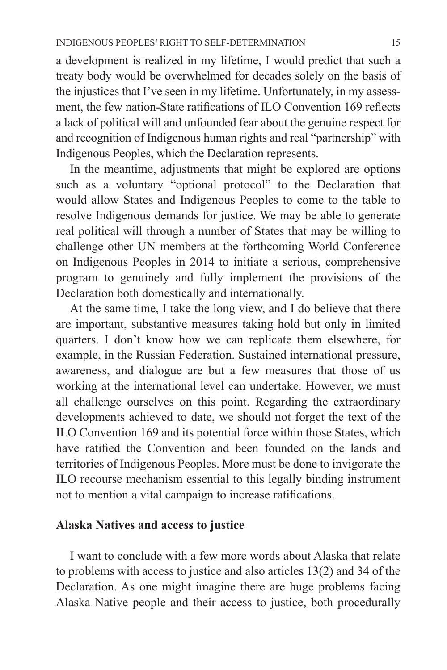a development is realized in my lifetime, I would predict that such a treaty body would be overwhelmed for decades solely on the basis of the injustices that I've seen in my lifetime. Unfortunately, in my assessment, the few nation-State ratifications of ILO Convention 169 reflects a lack of political will and unfounded fear about the genuine respect for and recognition of Indigenous human rights and real "partnership" with Indigenous Peoples, which the Declaration represents.

In the meantime, adjustments that might be explored are options such as a voluntary "optional protocol" to the Declaration that would allow States and Indigenous Peoples to come to the table to resolve Indigenous demands for justice. We may be able to generate real political will through a number of States that may be willing to challenge other UN members at the forthcoming World Conference on Indigenous Peoples in 2014 to initiate a serious, comprehensive program to genuinely and fully implement the provisions of the Declaration both domestically and internationally.

At the same time, I take the long view, and I do believe that there are important, substantive measures taking hold but only in limited quarters. I don't know how we can replicate them elsewhere, for example, in the Russian Federation. Sustained international pressure, awareness, and dialogue are but a few measures that those of us working at the international level can undertake. However, we must all challenge ourselves on this point. Regarding the extraordinary developments achieved to date, we should not forget the text of the ILO Convention 169 and its potential force within those States, which have ratified the Convention and been founded on the lands and territories of Indigenous Peoples. More must be done to invigorate the ILO recourse mechanism essential to this legally binding instrument not to mention a vital campaign to increase ratifications.

#### **Alaska Natives and access to justice**

I want to conclude with a few more words about Alaska that relate to problems with access to justice and also articles 13(2) and 34 of the Declaration. As one might imagine there are huge problems facing Alaska Native people and their access to justice, both procedurally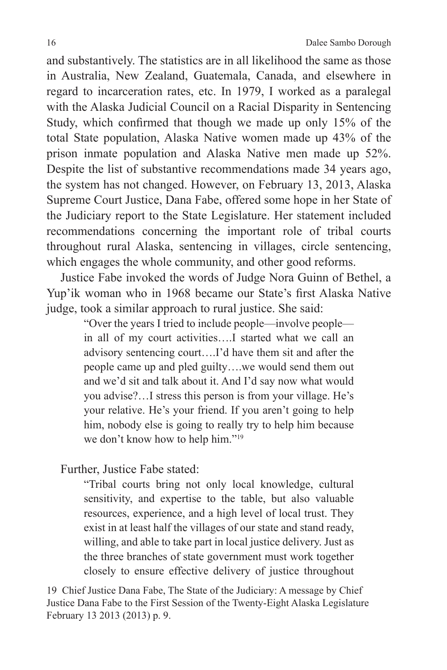and substantively. The statistics are in all likelihood the same as those in Australia, New Zealand, Guatemala, Canada, and elsewhere in regard to incarceration rates, etc. In 1979, I worked as a paralegal with the Alaska Judicial Council on a Racial Disparity in Sentencing Study, which confirmed that though we made up only 15% of the total State population, Alaska Native women made up 43% of the prison inmate population and Alaska Native men made up 52%. Despite the list of substantive recommendations made 34 years ago, the system has not changed. However, on February 13, 2013, Alaska Supreme Court Justice, Dana Fabe, offered some hope in her State of the Judiciary report to the State Legislature. Her statement included recommendations concerning the important role of tribal courts throughout rural Alaska, sentencing in villages, circle sentencing, which engages the whole community, and other good reforms.

Justice Fabe invoked the words of Judge Nora Guinn of Bethel, a Yup'ik woman who in 1968 became our State's first Alaska Native judge, took a similar approach to rural justice. She said:

> "Over the years I tried to include people—involve people in all of my court activities….I started what we call an advisory sentencing court….I'd have them sit and after the people came up and pled guilty….we would send them out and we'd sit and talk about it. And I'd say now what would you advise?…I stress this person is from your village. He's your relative. He's your friend. If you aren't going to help him, nobody else is going to really try to help him because we don't know how to help him."19

Further, Justice Fabe stated:

"Tribal courts bring not only local knowledge, cultural sensitivity, and expertise to the table, but also valuable resources, experience, and a high level of local trust. They exist in at least half the villages of our state and stand ready, willing, and able to take part in local justice delivery. Just as the three branches of state government must work together closely to ensure effective delivery of justice throughout

19 Chief Justice Dana Fabe, The State of the Judiciary: A message by Chief Justice Dana Fabe to the First Session of the Twenty-Eight Alaska Legislature February 13 2013 (2013) p. 9.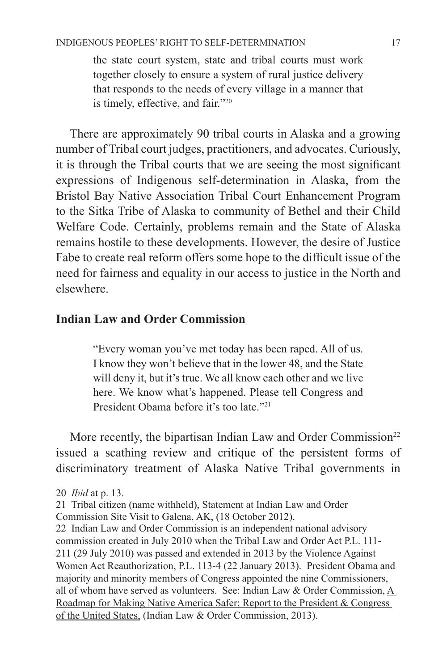the state court system, state and tribal courts must work together closely to ensure a system of rural justice delivery that responds to the needs of every village in a manner that is timely, effective, and fair."20

There are approximately 90 tribal courts in Alaska and a growing number of Tribal court judges, practitioners, and advocates. Curiously, it is through the Tribal courts that we are seeing the most significant expressions of Indigenous self-determination in Alaska, from the Bristol Bay Native Association Tribal Court Enhancement Program to the Sitka Tribe of Alaska to community of Bethel and their Child Welfare Code. Certainly, problems remain and the State of Alaska remains hostile to these developments. However, the desire of Justice Fabe to create real reform offers some hope to the difficult issue of the need for fairness and equality in our access to justice in the North and elsewhere.

#### **Indian Law and Order Commission**

"Every woman you've met today has been raped. All of us. I know they won't believe that in the lower 48, and the State will deny it, but it's true. We all know each other and we live here. We know what's happened. Please tell Congress and President Obama before it's too late."21

More recently, the bipartisan Indian Law and Order Commission<sup>22</sup> issued a scathing review and critique of the persistent forms of discriminatory treatment of Alaska Native Tribal governments in

Commission Site Visit to Galena, AK, (18 October 2012).

22 Indian Law and Order Commission is an independent national advisory commission created in July 2010 when the Tribal Law and Order Act P.L. 111- 211 (29 July 2010) was passed and extended in 2013 by the Violence Against Women Act Reauthorization, P.L. 113-4 (22 January 2013). President Obama and majority and minority members of Congress appointed the nine Commissioners, all of whom have served as volunteers. See: Indian Law & Order Commission, A Roadmap for Making Native America Safer: Report to the President & Congress of the United States, (Indian Law & Order Commission, 2013).

<sup>20</sup> *Ibid* at p. 13.

<sup>21</sup> Tribal citizen (name withheld), Statement at Indian Law and Order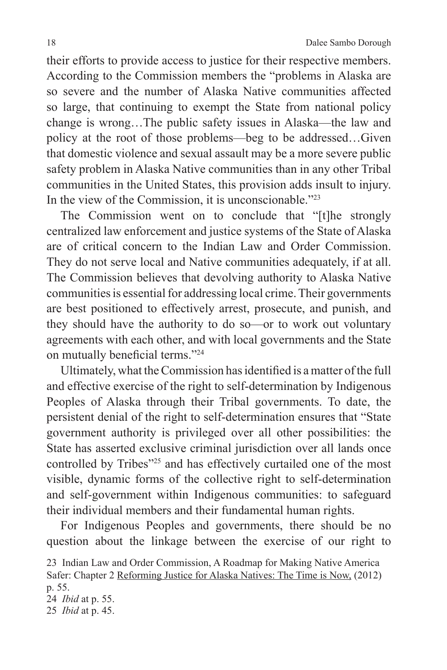their efforts to provide access to justice for their respective members. According to the Commission members the "problems in Alaska are so severe and the number of Alaska Native communities affected so large, that continuing to exempt the State from national policy change is wrong…The public safety issues in Alaska—the law and policy at the root of those problems—beg to be addressed…Given that domestic violence and sexual assault may be a more severe public safety problem in Alaska Native communities than in any other Tribal communities in the United States, this provision adds insult to injury. In the view of the Commission, it is unconscionable."23

The Commission went on to conclude that "[t]he strongly centralized law enforcement and justice systems of the State of Alaska are of critical concern to the Indian Law and Order Commission. They do not serve local and Native communities adequately, if at all. The Commission believes that devolving authority to Alaska Native communities is essential for addressing local crime. Their governments are best positioned to effectively arrest, prosecute, and punish, and they should have the authority to do so—or to work out voluntary agreements with each other, and with local governments and the State on mutually beneficial terms."<sup>24</sup>

Ultimately, what the Commission has identified is a matter of the full and effective exercise of the right to self-determination by Indigenous Peoples of Alaska through their Tribal governments. To date, the persistent denial of the right to self-determination ensures that "State government authority is privileged over all other possibilities: the State has asserted exclusive criminal jurisdiction over all lands once controlled by Tribes"<sup>25</sup> and has effectively curtailed one of the most visible, dynamic forms of the collective right to self-determination and self-government within Indigenous communities: to safeguard their individual members and their fundamental human rights.

For Indigenous Peoples and governments, there should be no question about the linkage between the exercise of our right to

23 Indian Law and Order Commission, A Roadmap for Making Native America Safer: Chapter 2 Reforming Justice for Alaska Natives: The Time is Now, (2012) p. 55. 24 *Ibid* at p. 55.